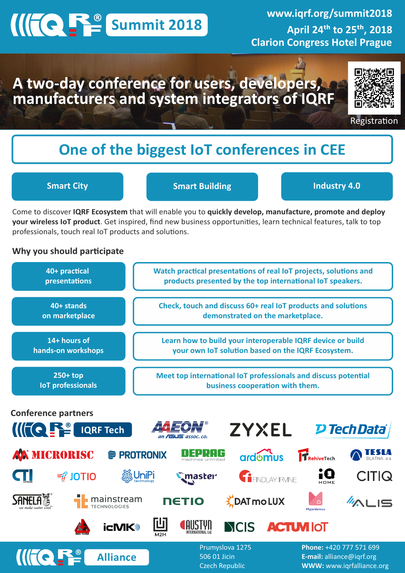# **Summit 2018**

**www.iqrf.org/summit2018** April 24<sup>th</sup> to 25<sup>th</sup>, 2018 **Clarion Congress Hotel Prague**

## A two-day conference for users, developers, manufacturers and system integrators of IQRF



Registration

## **One of the biggest IoT conferences in CEE**

**Smart City Smart Building Industry 4.0**

Come to discover **IQRF Ecosystem** that will enable you to **quickly develop, manufacture, promote and deploy your wireless IoT product**. Get inspired, find new business opportunities, learn technical features, talk to top professionals, touch real IoT products and solutions.

### **Why you should participate**